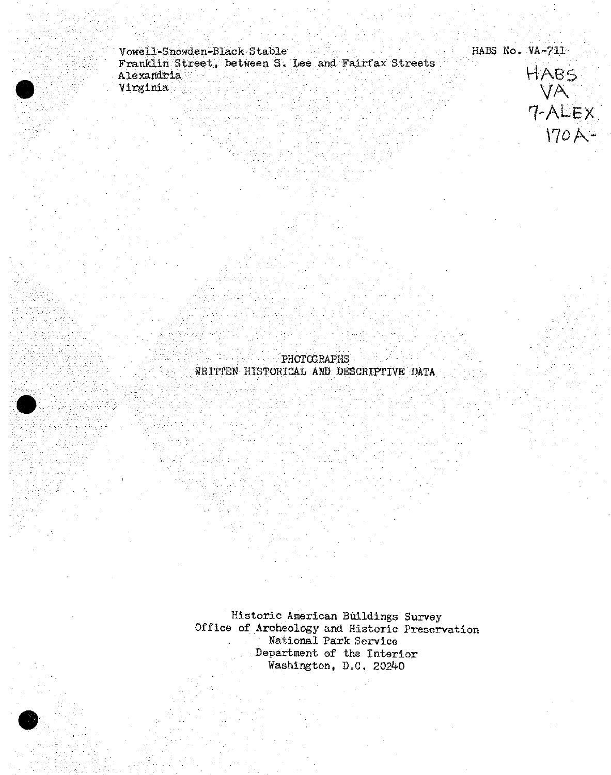Vowell-Snowden-Black Stable  $\sim$  Stable HABS No. VA-711 Franklin Street, between S\* Xjee and Fairfax Streets . . V4AB *£2.*



**PHOTOGRAPHS** WKPFTSN HISTORICAL *AW* DESCRIPTIVE DATA

Historic American Buildings Survey Office of Archeology and Historic Preservation National Park Service Department of the Interior Washington, D.C. 20240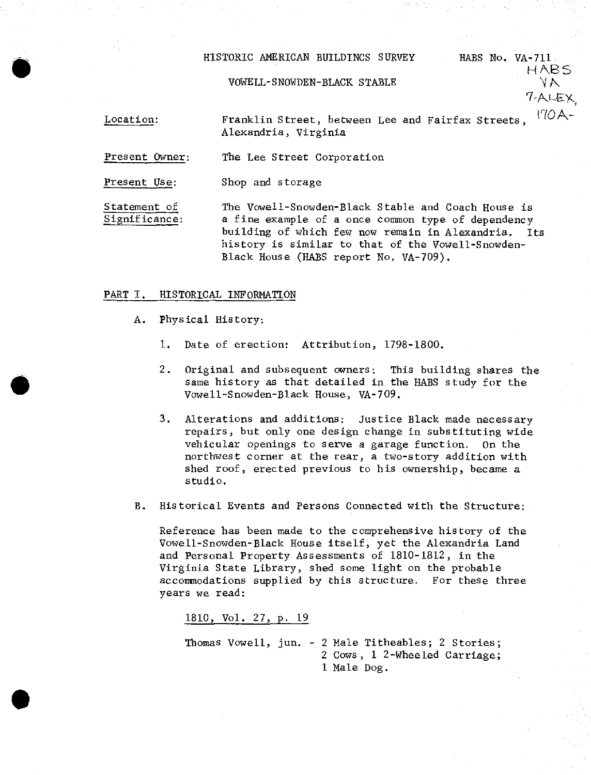## HISTORIC AMERICAN BUILDINGS SURVEY

## VOWELL-SNOWDEN-BLACK STABLE

HABS Wo. VA-711 HABS

7-ALEX

Location: Franklin Street, between Lee and Fairfax Streets,  $170A -$ Alexandria, Virginia

Present Owner: The Lee Street Corporation

Present Use: Shop and storage

**•**

Statement of Significance: The Vowell-Snowden-Black Stable and Coach House is a fine example of a once common type of dependency building of which few now remain in Alexandria. Its history is similar to that of the Vowell-Snowden-Black House (HABS report No. VA-709).

### PART I. HISTORICAL INFORMATION

- A. Physical History:
	- 1. Date of erection: Attribution, 1798-1800.
	- 2. Original and subsequent owners: This building shares the same history as that detailed in the HABS study for the Vowell-Snowden-Black House, VA-709.
	- 3. Alterations and additions: Justice Black made necessary repairs, but only one design change in substituting wide vehicular openings to serve a garage function. On the northwest corner at the rear, a two-story addition with shed roof, erected previous to his ownership, became a studio.
- B. Historical Events and Persons Connected with the Structure:

Reference has been made to the comprehensive history of the Vowell-Snowden-Black House itself, yet the Alexandria Land and Personal Property Assessments of 1810-1812, in the Virginia State Library, shed some light on the probable accommodations supplied by this structure. For these three years we read:

1810, Vol. 27, p. 19

Thomas Vowell, jun. - 2 Male Titheables; 2 Stories; 2 Cows, 1 2-Wheeled Carriage; 1 Male Dog.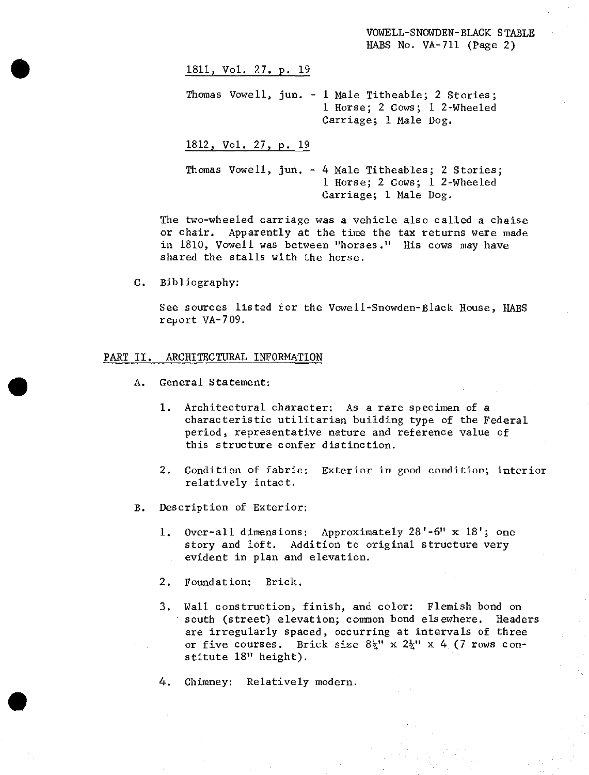VOWELL-SNOWDEN-BLACK STABLE HABS No. VA-711 (Page 2)

# 1811, Vol. 27. p. 19

Thomas Vowell, jun. - <sup>1</sup> Male Titheable; <sup>2</sup> Stories; 1 Horse; 2 Cows; <sup>1</sup> 2-Wheeled Carriage; <sup>1</sup> Male Dog.

1812, Vol. 27, p. 19

Thomas Vowell, jun. - 4 Male Titheables; <sup>2</sup> Stories; <sup>1</sup> Horse; 2 Cows; <sup>1</sup> 2-Wheeled Carriage; <sup>1</sup> Male Dog.

The two-wheeled carriage was a vehicle also called a chaise or chair. Apparently at the time the tax returns were made in 1810, Vowell was between "horses." His cows may have shared the stalls with the horse.

C. Bibliography:

**\***

See sources listed for the Vowell-Snowden-Black House, HABS report VA-709.

#### PART II. ARCHITECTURAL INFORMATION

- A. General Statement:
	- 1. Architectural character: As a rare specimen of a characteristic utilitarian building type of the Federal period, representative nature and reference value of this structure confer distinction.
	- 2. Condition of fabric: Exterior in good condition; interior relatively intact.
- B. Description of Exterior:
	- 1. Over-all dimensions: Approximately 28'-6" x 18'; one story and loft. Addition to original structure very evident in plan and elevation.
	- 2. Foundation; Brick.
	- 3. Wall construction, finish, and color: Flemish bond on south (street) elevation; common bond elsewhere. Headers are irregularly spaced, occurring at intervals of three or five courses. Brick size  $8\frac{1}{4}$ " x  $2\frac{1}{4}$ " x  $4$  (7 rows constitute 18" height).
	- 4, Chimney: Relatively modern.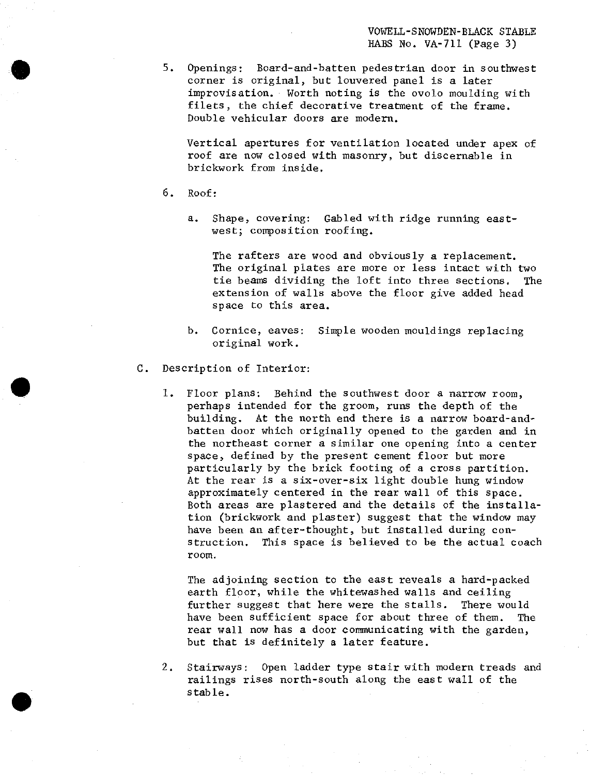5. Openings: Board-and-batten pedestrian door in southwest corner is original, but louvered panel is a later improvisation. Worth noting is the ovolo moulding with filets, the chief decorative treatment of the frame. Double vehicular doors are modern.

Vertical apertures for ventilation located under apex of roof are now closed with masonry, but discernable in brickwork from inside.

6. Roof:

**•**

a. Shape, covering: Gabled with ridge running eastwest; composition roofing.

The rafters are wood and obviously a replacement. The original plates are more or less intact with two tie beams dividing the loft into three sections. The extension of walls above the floor give added head space to this area.

- b. Cornice, eaves: Simple wooden mouldings replacing original work.
- C. Description of Interior:
	- 1. Floor plans: Behind the southwest door a narrow room, perhaps intended for the groom, runs the depth of the building. At the north end there is a narrow board-andbatten door which originally opened to the garden and in the northeast corner a similar one opening into a center space, defined by the present cement floor but more particularly by the brick footing of a cross partition. At the rear is a six-over-six light double hung window approximately centered in the rear wall of this space. Both areas are plastered and the details of the installation (brickwork and plaster) suggest that the window may have been an after-thought, but installed during construction. This space is believed to be the actual coach room.

The adjoining section to the east reveals a hard-packed earth floor, while the whitewashed walls and ceiling further suggest that here were the stalls. There would have been sufficient space for about three of them. The rear wall now has a door communicating with the garden, but that is definitely a later feature.

2. Stairways: Open ladder type stair with modern treads and railings rises north-south along the east wall of the stable.